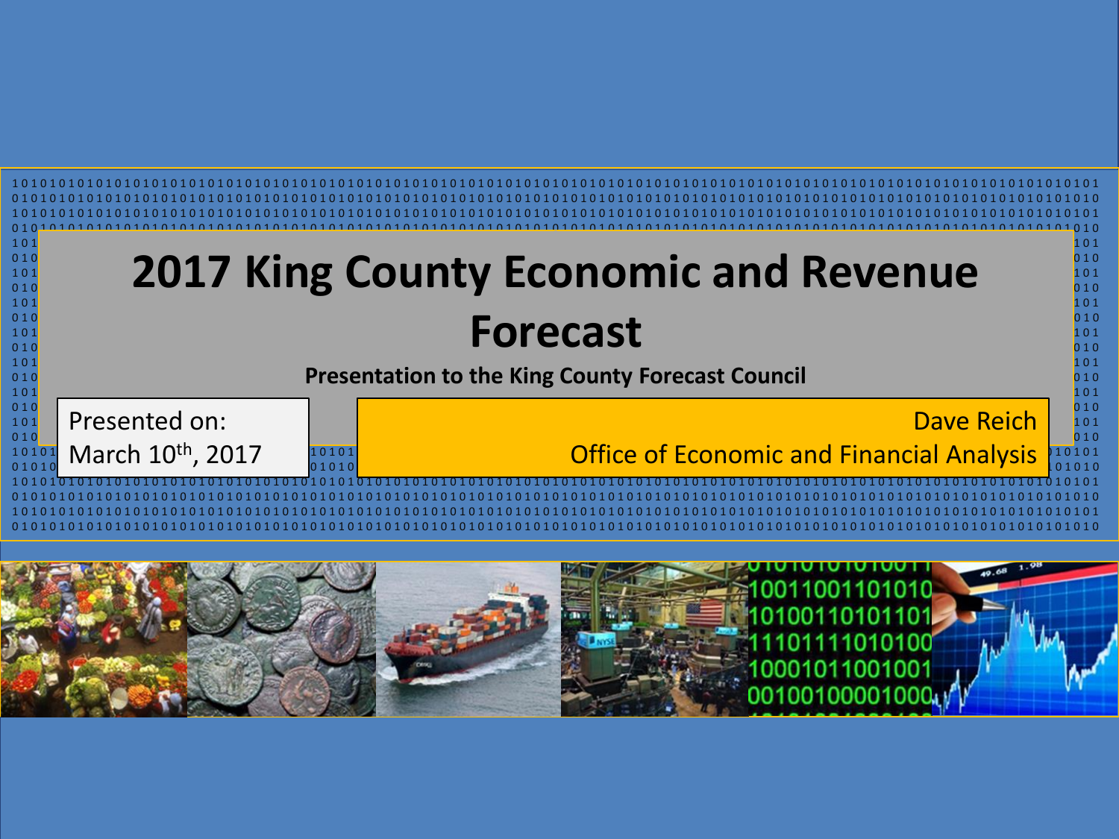

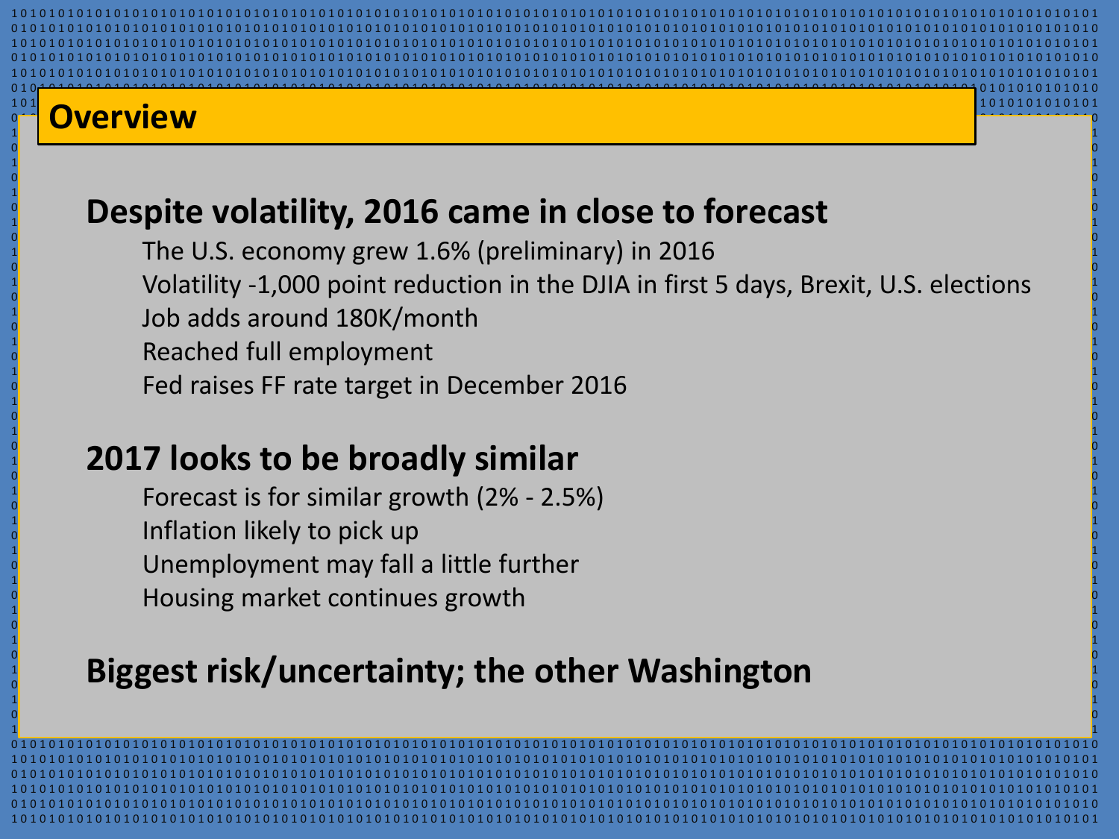#### $\frac{101}{2}$  . The contract of the contract of the contract of the contract of the contract of the contract of the contract of the contract of the contract of the contract of the contract of the contract of the contract of 0 1 0 1 0 1 0 1 0 1 0 1 0 1 0 1 0 1 0 1 0 1 0 1 0 1 0 1 0 1 0 1 0 1 0 1 0 1 0 1 0 1 0 1 0 1 0 1 0 1 0 1 0 1 0 1 0 1 0 1 0 1 0 1 0 1 0 1 0 1 0 1 0 1 0 1 0 1 0 1 0 1 0 1 0 1 0 1 0 1 0 1 0 1 0 1 0 1 0 1 0 1 0 1 0 1 0 1 0 1 0 1 0 1 0 1 0 **Overview** $\begin{bmatrix} 1 & 1 \end{bmatrix}$  . The contract of the contract of the contract of the contract of the contract of  $\begin{bmatrix} 1 & 1 \end{bmatrix}$

#### $1$  and the contract of the contract of the contract of the contract of the contract of  $1$ 0 1 0 1 0 1 0 1 0 1 0 1 0 1 0 1 0 1 0 1 0 1 0 1 0 1 0 1 0 1 0 1 0 1 0 1 0 1 0 1 0 1 0 1 0 1 0 1 0 1 0 1 0 1 0 1 0 1 0 1 0 1 0 1 0 1 0 1 0 1 0 1 0 1 0 1 0 1 0 1 0 1 0 1 0 1 0 1 0 1 0 1 0 1 0 1 0 1 0 1 0 1 0 1 0 1 0 1 0 1 0 1 0 1 0 1 0 **Example 10 Despite volatility, 2016 came in close to forecast**

 $\overline{a}$  , and the contract of the contract of the contract of  $\overline{a}$  ,  $\overline{a}$  ,  $\overline{a}$  ,  $\overline{a}$  ,  $\overline{a}$  ,  $\overline{a}$  ,  $\overline{a}$  ,  $\overline{a}$  ,  $\overline{a}$  ,  $\overline{a}$  ,  $\overline{a}$  ,  $\overline{a}$  ,  $\overline{a}$  ,  $\overline{a}$  ,  $\overline$  $\frac{1}{4}$  The U.S. economy grew 1.6% (preliminary) in 2016 0 1 0 1 0 1 0 1 0 1 0 1 0 1 0 1 0 1 0 1 0 1 0 1 0 1 0 1 0 1 0 1 0 1 0 1 0 1 0 1 0 1 0 1 0 1 0 1 0 1 0 1 0 1 0 1 0 1 0 1 0 1 0 1 0 1 0 1 0 1 0 1 0 1 0 1 0 1 0 1 0 1 0 1 0 1 0 1 0 1 0 1 0 1 0 1 0 1 0 1 0 1 0 1 0 1 0 1 0 1 0 1 0 1 0 1 0 1 0 1 0 1 0 1 0 1 0 1 0 1 0 1 0 1 0 1 0 1 0 1 0 1 0 1 0 1 0 1 0 1 0 1 0 1 0 1 0 1 0 1 0 1 0 1 0 1 0 1 0 1 0 1 0 1 0 1 0 1 0 1 0 1 0 1 0 1 0 1 0 1 0 1 0 1 0 1 0 1 0 1 0 1 0 1 0 1 0 1 0 1 0 1 0 1 0 1 0 1 0 1 0 1 0 1 0 1 0 1 0 1 0 1 0 1  $\frac{1}{0}$  1.000 point reduction in the DJIA in first 5 days, Brexit, U.S. elections  $\frac{1}{0}$  $\frac{1}{1}$  and  $\frac{1}{2}$  in the state of  $\frac{1}{2}$  in the state of  $\frac{1}{2}$  in the state of  $\frac{1}{2}$  $\frac{1}{2}$  and  $\frac{1}{2}$  by an and  $\frac{1}{2}$  and  $\frac{1}{2}$  and  $\frac{1}{2}$  and  $\frac{1}{2}$  and  $\frac{1}{2}$  and  $\frac{1}{2}$  and  $\frac{1}{2}$  and  $\frac{1}{2}$  and  $\frac{1}{2}$  and  $\frac{1}{2}$  and  $\frac{1}{2}$  and  $\frac{1}{2}$  and  $\frac{1}{2}$  and  $\frac{1$  $1$  and  $2$  and  $2$  and  $3$  and  $4$  and  $5$  and  $7$  and  $1$  and  $1$  and  $1$  and  $1$  and  $1$  and  $1$  and  $1$  and  $1$  and  $1$  and  $1$  and  $1$  and  $1$  and  $1$  and  $1$  and  $1$  and  $1$  and  $1$  and  $1$  and  $1$  and  $1$  and  $1$  a  $\frac{1}{2}$  and  $\frac{1}{2}$  . Reached full employment  $\frac{1}{2}$  $\frac{1}{2}$  , and  $\frac{1}{2}$  , and  $\frac{1}{2}$  , and  $\frac{1}{2}$  , and  $\frac{1}{2}$  , and  $\frac{1}{2}$  , and  $\frac{1}{2}$  , and  $\frac{1}{2}$  $\frac{1}{2}$  and the set of the set of the set of the set of the set of the set of the set of the set of the set of  $\frac{1}{2}$ о произведения в общественности в общественности и произведения в совмести с произведения в общественности и д<br>В общественности произведение произведение произведения и произведения и произведения и произведения и произве

о произведения на современности на современности с произведения и современности с произведения и современно пр ан нь тогтоос болон байгаа байгаа байгаа байгаа байгаа байгаа байгаа байгаа байгаа байгаа байгаа байгаа байгаа

о произведения на современности на современности с произведения и современности с произведения и современно пр  $1$  , the contract of the contract of the contract of the contract of the contract of the contract of  $1$ 

ан нь тогтоос болон байгаа байгаа байгаа байгаа байгаа байгаа байгаа байгаа байгаа байгаа байгаа байгаа байгаа о произведения на современности на современности с произведения и современности с произведения и современно пр  $1$  and the contract of the contract of the contract of the contract of the contract of the contract of  $1$ 0 1 0 1 0 1 0 1 0 1 0 1 0 1 0 1 0 1 0 1 0 1 0 1 0 1 0 1 0 1 0 1 0 1 0 1 0 1 0 1 0 1 0 1 0 1 0 1 0 1 0 1 0 1 0 1 0 1 0 1 0 1 0 1 0 1 0 1 0 1 0 1 0 1 0 1 0 1 0 1 0 1 0 1 0 1 0 1 0 1 0 1 0 1 0 1 0 1 0 1 0 1 0 1 0 1 0 1 0 1 0 1 0 1 0 1 0 1 0 1 0 1 0 1 0 1 0 1 0 1 0 1 0 1 0 1 0 1 0 1 0 1 0 1 0 1 0 1 0 1 0 1 0 1 0 1 0 1 0 1 0 1 0 1 0 1 0 1 0 1 0 1 0 1 0 1 0 1 0 1 0 1 0 1 0 1 0 1 0 1 0 1 0 1 0 1 0 1 0 1 0 1 0 1 0 1 0 1 0 1 0 1 0 1 0 1 0 1 0 1 0 1 0 1 0 1 0 1 0 1 0 1 0 1 0 1 0 1 0 1 0 1 0 1 0 1 0 1 0 1 0 1 0 1 0 1 0 1 0 1 0 1 0 1 0 1 0 1 0 1 0 1 0 1 0 1 0 1 0 1 0 1 0 1 0 1 0 1 0 1 0 1 0 1 0 1 0 1 0 1 0 1 0 1 0 1 0 1 0 1 0 1 0 1 0 1 0 1 0 1 0 1 0 1 0 1 0 1 0 1 0 1 0 1 0 1 0 1 0 1 0 1 0 1 0 1 0 1 0 1 0 1 0 1 0 1 0 1 0 1 0 1 0 1 0 1 0 1 0 1 0 1 0 1 0 1 0 1 0 1 0 1 0 1 0 1 0 1 0 1 0 1 0 1 0 1 0 1 0 1 0 1 0 1 0 1 0 1 0 1 0 1 0 1 0 1 0 1 0 1 0 1 0 1 0 1 0 1 0 1 0 1 0 1 0 1 0 1 0 1 0 1 0 1 0 1 0 1 0 1 0 1 0 1 0 1 0 1 0 1 0 1 0 1 0 1 0 1 0 1 0 1 0 1 0 1 0 1 0 1 0 1 0 1 0 1 0 1 0 1 0 1 0 1 0 1 0 1 0 1 0 1 0 1 0 1 0 1 0 1 0 1 0 1 0 1 0 1 0 1 0 1 0 1 0 1 0 1 0 1 0 1 0 1 0 1 0 1 0 1 0 1 0 1 0 1 0 1 0 1 0 1 0 1 0 1 0 1 0 1 0 1 0 1 0 1 0 1 0 1 0 1 0 1 0 1 0 1 0 1 0 1 0 1 0  $1\,0\,1\,0\,1\,0\,1\,0\,1\,0\,1\,0\,1\,0\,1\,0\,1\,0\,1\,0\,1\,0\,1\,0\,1\,0\,1\,0\,1\,0\,1\,0\,1\,0\,1\,0\,1\,0\,1\,0\,1\,0\,1\,0\,1\,0\,1\,0\,1\,0\,1\,0\,1\,0\,1\,0\,1\,0\,1\,0\,1\,0\,1\,0\,1\,0\,1\,0\,1\,0\,1\,0\,1\,0$ 

1 0 1 0 1 0 1 0 1 0 1 0 1 0 1 0 1 0 1 0 1 0 1 0 1 0 1 0 1 0 1 0 1 0 1 0 1 0 1 0 1 0 1 0 1 0 1 0 1 0 1 0 1 0 1 0 1 0 1 0 1 0 1 0 1 0 1 0 1 0 1 0 1 0 1 0 1 0 1 0 1 0 1 0 1 0 1 0 1 0 1 0 1 0 1 0 1 0 1 0 1 0 1 0 1 0 1 0 1 0 1 0 1 0 1 0 1 0 1 0 1 0 1 0 1 0 1 0 1 0 1 0 1 0 1 0 1 0 1 0 1 0 1 0 1 0 1 0 1 0 1 0 1 0 1 0 1 0 1 0 1 0 1 0 1 0 1 0 1 0 1 0 1 0 1 0 1 0 1 0 1 0 1 0 1 0 1 0 1 0 1 0 1 0 1 0 1 0 1 0 1 0 1 0 1 0 1 0 1 0 1 0 1 0 1 0 1 0 1 0 1 0 1 0 1 0 1 0 1 0 1 0 1 0 1 0 1 0 1 0 1 0 1 0 1 0 1 0 1 0 1 0 1 0 1 0 1 0 1 0 1 0 1 0 1 0 1 0 1 0 1 0 1 0 1 0 1 0 1 0 1 0 1 0 1 0 1 0 1 0 1 0 1 0 1 0 1 0 1 0 1 0 1 0 1 0 1 0 1 0 1 0 1 0 1 0 1 0 1 0 1 0 1 0 1 0 1 0 1 0 1 0 1 0 1 0 1 0 1 0 1 0 1 0 1 0 1 0 1 0 1 0 1 0 1 0 1 0 1 0 1 0 1 0 1 0 1 0 1 0 1 0 1 0 1 0 1 0 1 0 1 0 1 0 1 0 1 0 1 0 1 0 1 0 1 0 1 0 1 0 1 0 1 0 1 0 1 0 1 0 1 0 1 0 1 0 1 0 1 0 1 0 1 0 1 0 1 0 1 0 1 0 1 0 1 0 1 0 1 0 1 0 1 0 1 0 1 0 1 0 1 0 1 0 1 0 1 0 1 0 1 0 1 0 1 0 1 0 1 0 1 0 1 0 1 0 1 0 1 0 1 0 1 0 1 0 1 0 1 0 1 0 1 0 1 0 1 0 1 0 1 0 1 0 1 0 1 0 1 0 1 0 1 0 1 0 1 0 1 0 1 0 1 0 1 0 1 0 1 0 1 0 1 0 1 0 1 0 1 0 1 0 1 0 1 0 1 0 1 0 1 0 1 0 1 0 1 0 1 0 1 0 1 0 1 0 1 0 1 0 1 0 1 0 1 0 1 0 1 0 1 0 1 0 1 0 1 0 1 0 1 0 1 0 1 0 1 0 1 0 1 0 1 0 1 0 1 0 1 0 1 0 1 0 1 0 1 0 1 0 1 0 1 0 1 0 1 0 1 0 1 0 1 0 1 0 1 0 1 0 1 0 1 0 1 0 1 0 1 0 1 0 1 0 1 0 1 0 1 0 1 0 1 0 1 0 1 0 1 0 1 0 1 0 1 0 1 0 1 0 1 0 1 0 1 0 1 0 1 0 1 0 1 0 1 0 1 0 1 0 1 0

о произведения произведения с произведения с произведения с произведения с произведения с произведения с произ<br>При применении с произведения с произведения с произведения с произведения с произведения с произведения с про ан нь тогтоос болон байгаа байгаа байгаа байгаа байгаа байгаа байгаа байгаа байгаа байгаа байгаа байгаа байгаа о произведения на современности на современности с произведения и современности с произведения и современно пр

#### $\sim$  0.047 Lealer to be have all second as  $\sim$  100  $\mu$  $\frac{1}{2}$  . The set of  $\frac{1}{2}$  is a set of  $\frac{1}{2}$  is a set of  $\frac{1}{2}$  is a set of  $\frac{1}{2}$  is a set of  $\frac{1}{2}$  $\frac{1}{3}$  2017 looks to be broadly similar  $\frac{3}{5}$

 $1$  Express to for similar growth (20%)  $2.50(1)$  $\frac{1}{0}$  and the set of the set of the set of the set of the set of the set of the set of the set of the set of  $\frac{1}{0}$  $\frac{1}{1}$  and  $\frac{1}{1}$  is the set of the set of the set of the set of the set of the set of the set of the set of the set of the set of the set of the set of the set of the set of the set of the set of the set of the set  $\frac{1}{2}$  and the inflation likely to pick up the set of the set of the set of the set of the set of  $\frac{1}{2}$  $1$  and the contract of the contract of the contract of the contract of the contract of  $1$  $\frac{1}{2}$  by the Unemployment may fall a little further the contract of the contract of  $\frac{1}{2}$  $\frac{1}{2}$  , and the contract of the contract of the contract of the contract of the contract of the contract of the contract of the contract of the contract of the contract of the contract of the contract of the contract  $^{\circ}$  and  $\bullet$  Housing market continues growth  $^{\circ}$  $\frac{1}{1}$  and  $\frac{1}{1}$  are the Housing market continues growth  $\frac{1}{1}$  and  $\frac{1}{1}$  and  $\frac{1}{1}$  and  $\frac{1}{1}$  and  $\frac{1}{1}$  and  $\frac{1}{1}$  and  $\frac{1}{1}$  and  $\frac{1}{1}$  and  $\frac{1}{1}$  and  $\frac{1}{1}$  and  $\frac{1}{1}$  and  $\frac$ 

#### $\overline{\phantom{a}}$  , and the contract of the contract of the contract of the contract of  $\overline{\phantom{a}}$  $\frac{1}{1}$  Riggest risk/iincertainty: the other Washington  $\frac{1}{1}$ Biggest risk/uncertainty; the other Washington and the state  $\frac{1}{3}$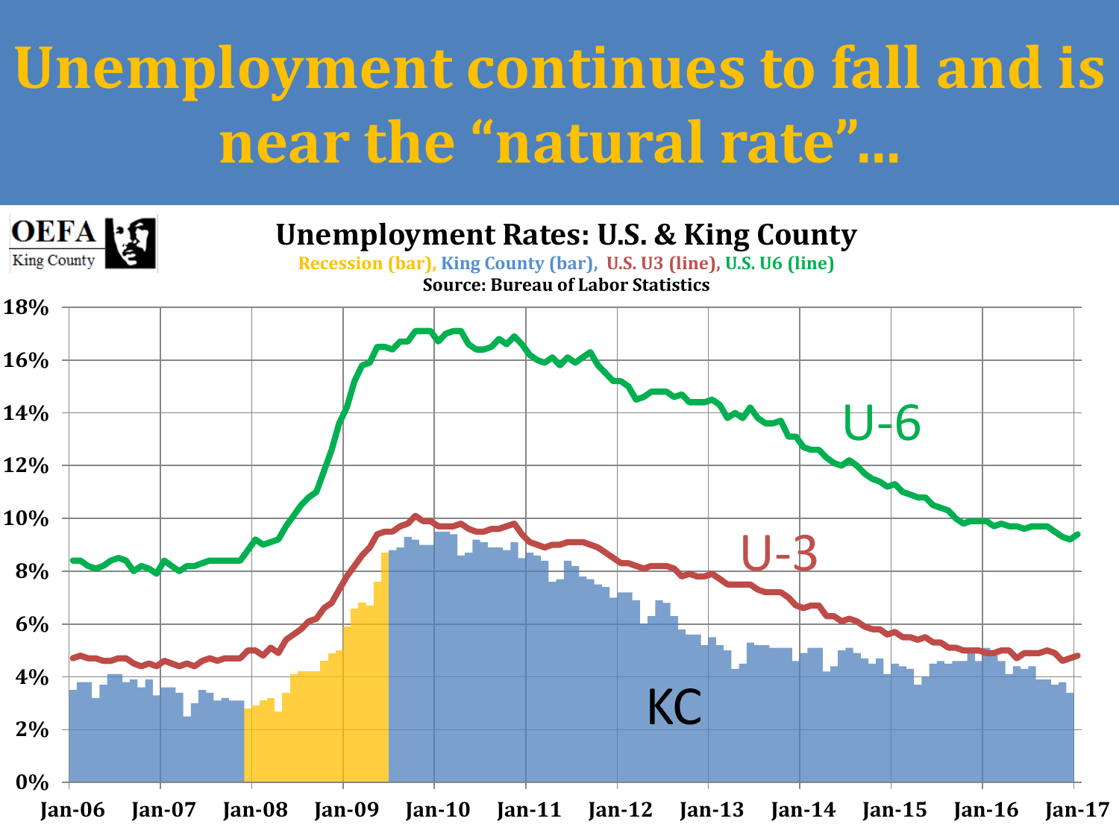# **Unemployment continues to fall and is near the "natural rate"…**

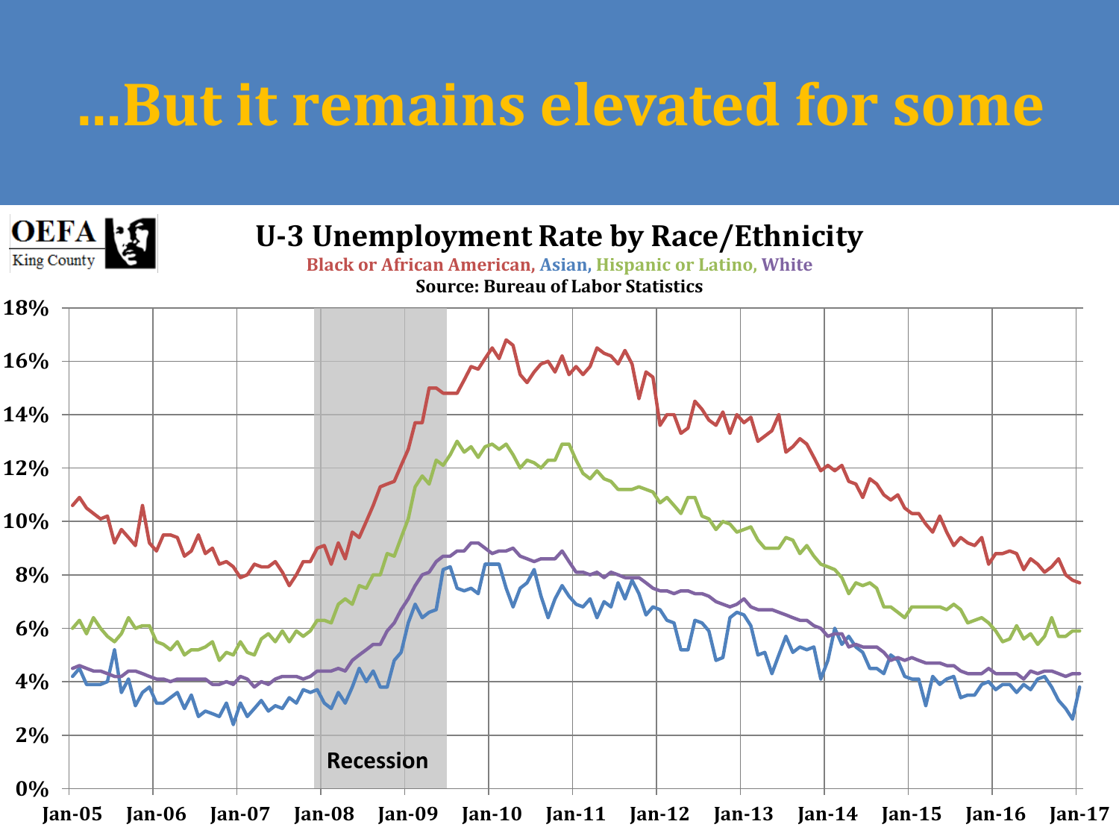### **…But it remains elevated for some**



**Jan-05 Jan-06 Jan-07 Jan-08 Jan-09 Jan-10 Jan-11 Jan-12 Jan-13 Jan-14 Jan-15 Jan-16 Jan-17**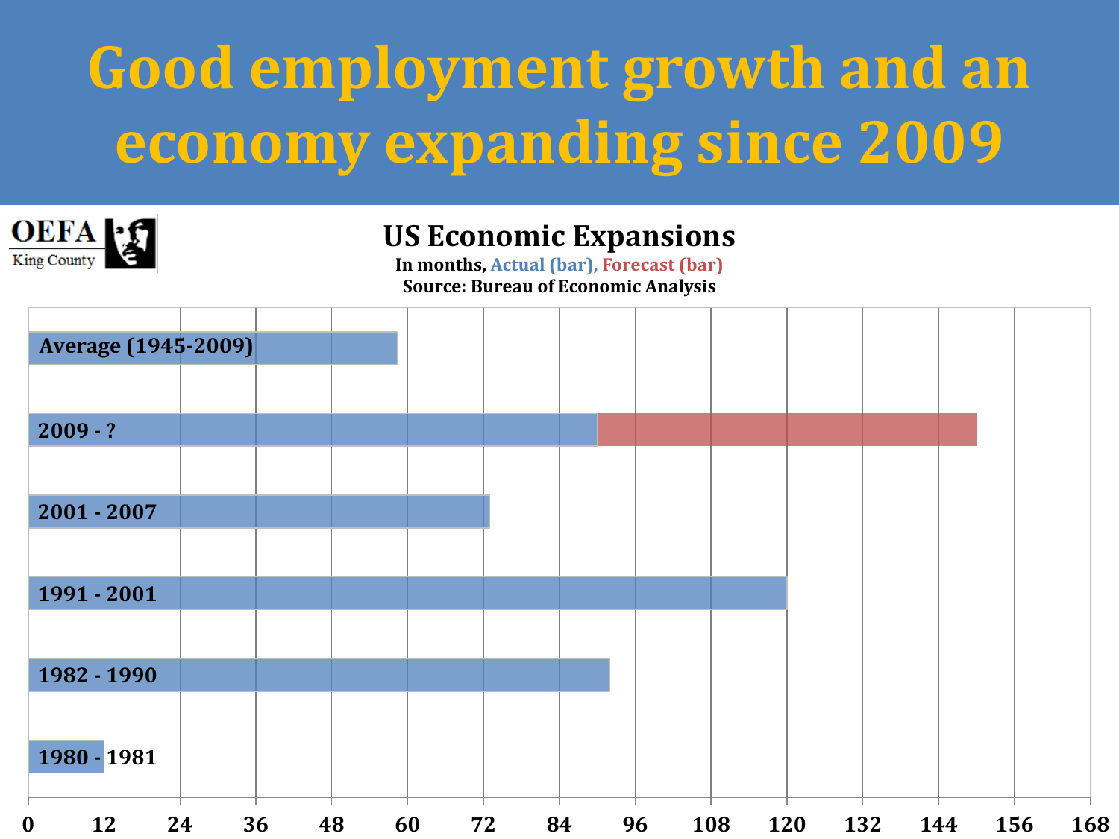# **Good employment growth and an economy expanding since 2009**



#### **US Economic Expansions**

**In months, Actual (bar), Forecast (bar) Source: Bureau of Economic Analysis**

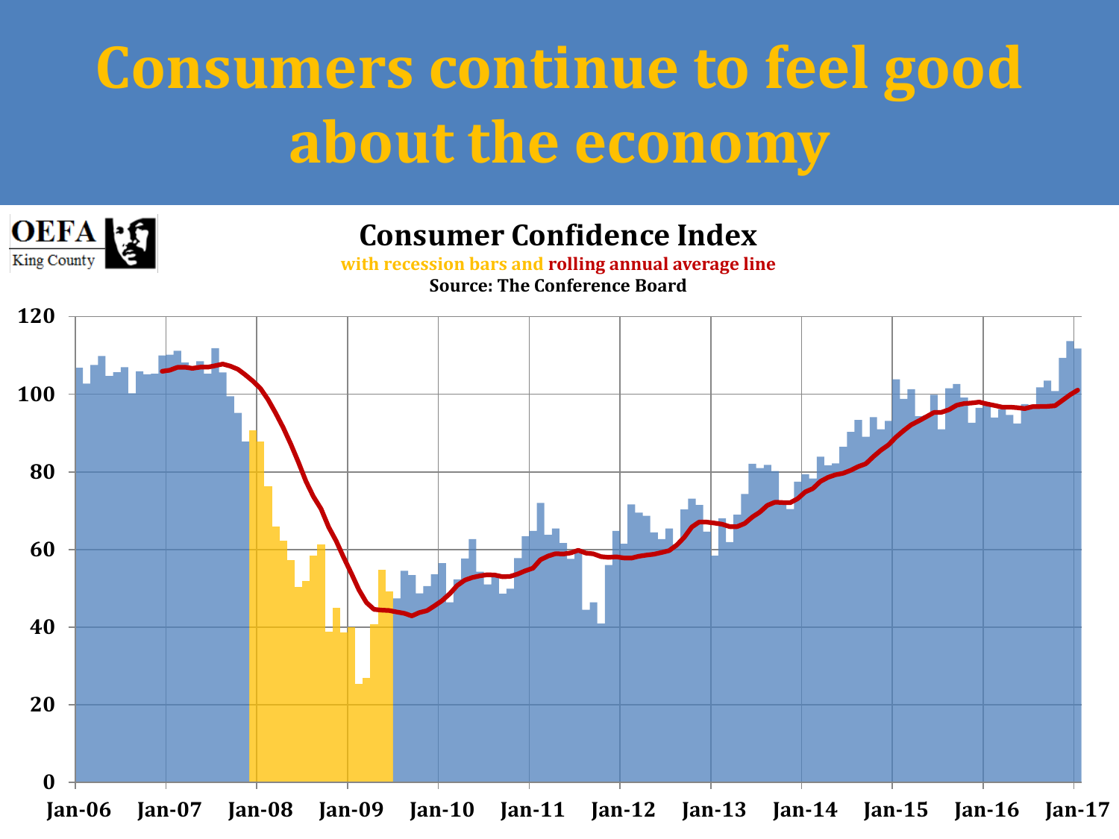## **Consumers continue to feel good about the economy**



#### **Consumer Confidence Index**

**with recession bars and rolling annual average line Source: The Conference Board**

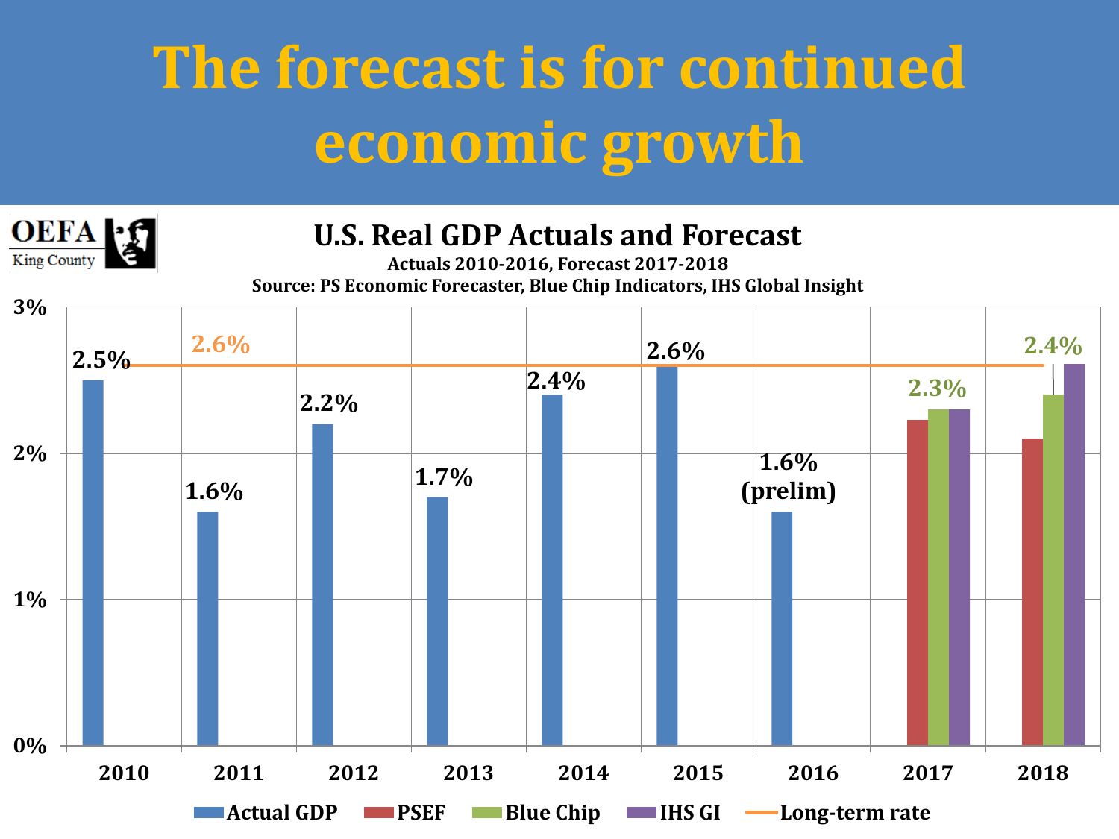# **The forecast is for continued economic growth**

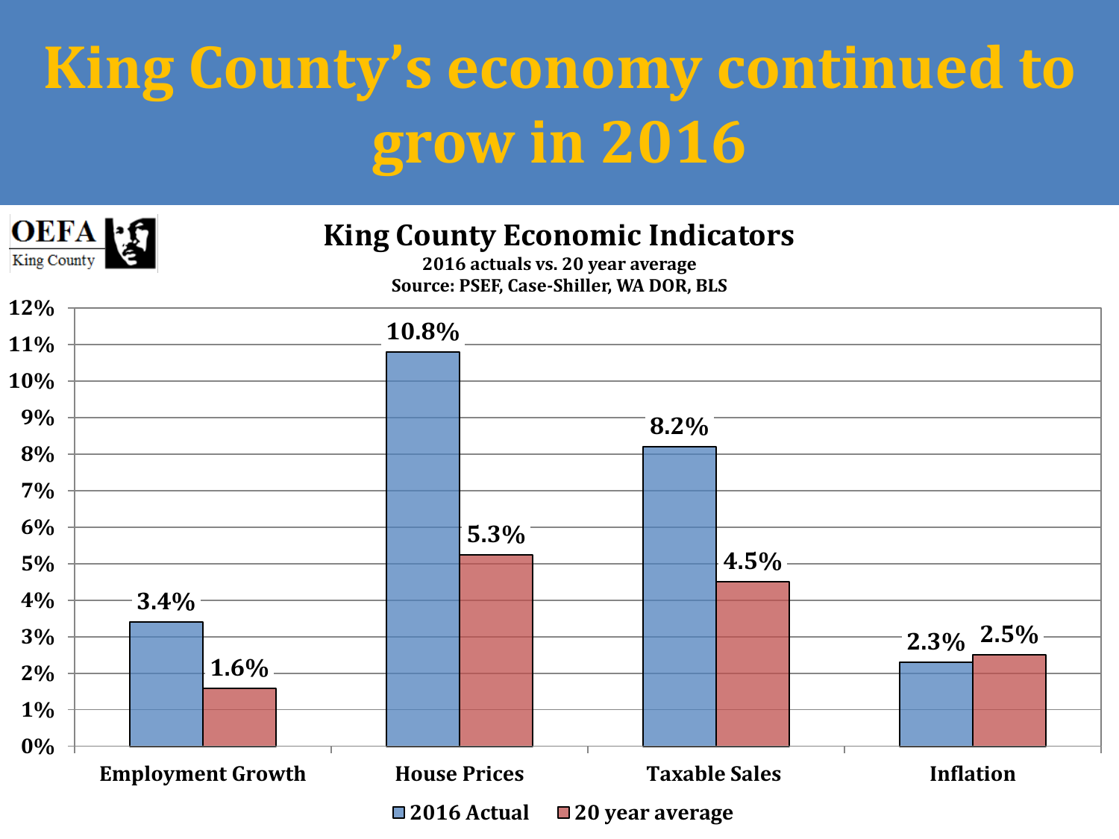# **King County's economy continued to grow in 2016**

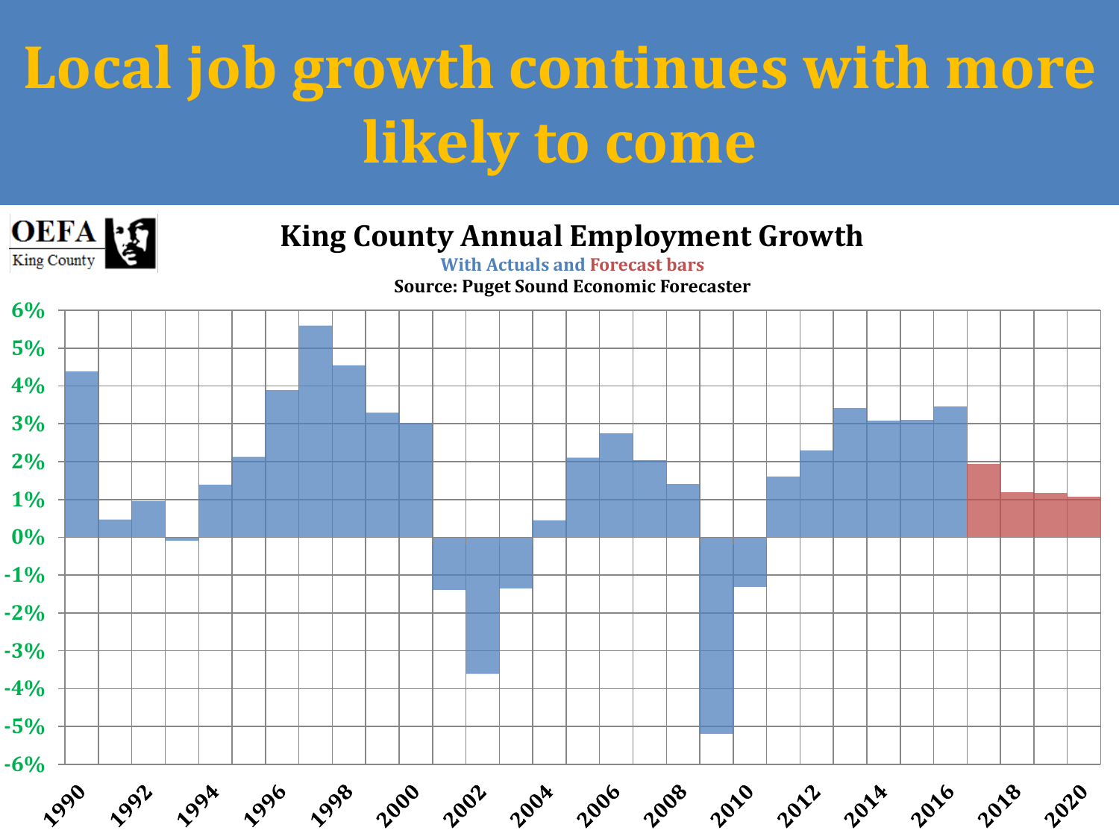# **Local job growth continues with more likely to come**

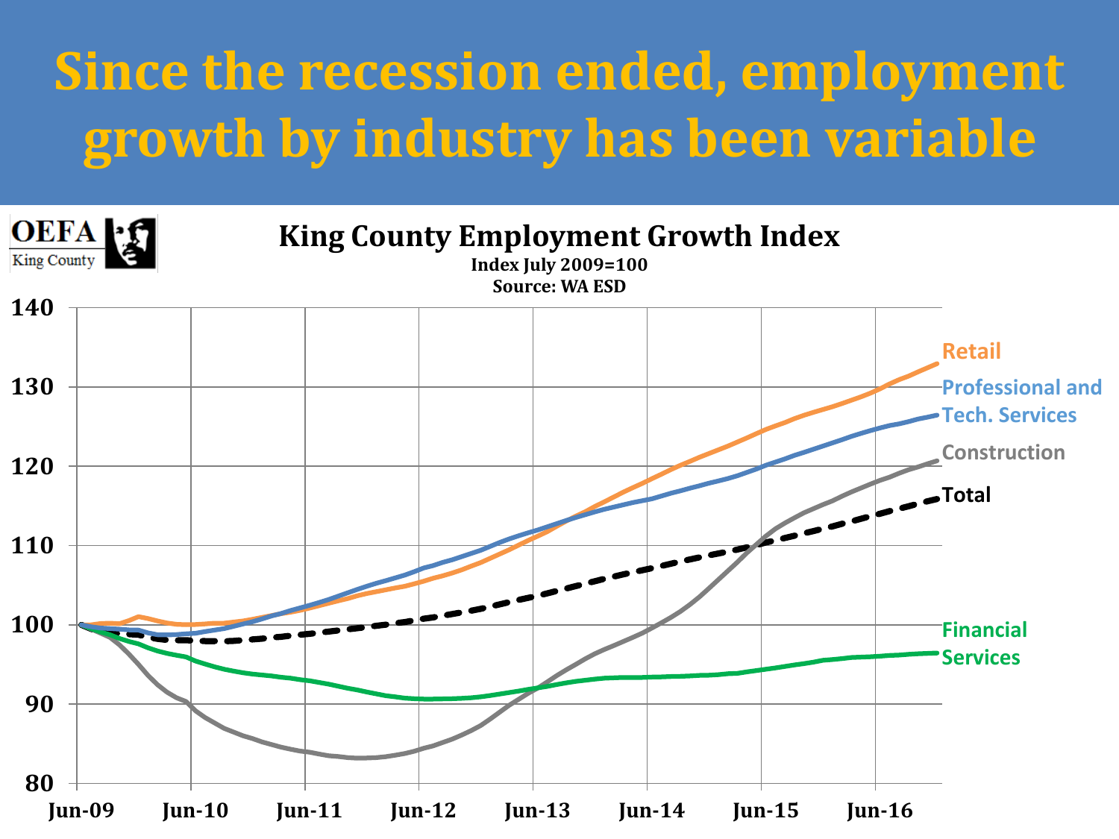### **Since the recession ended, employment growth by industry has been variable**

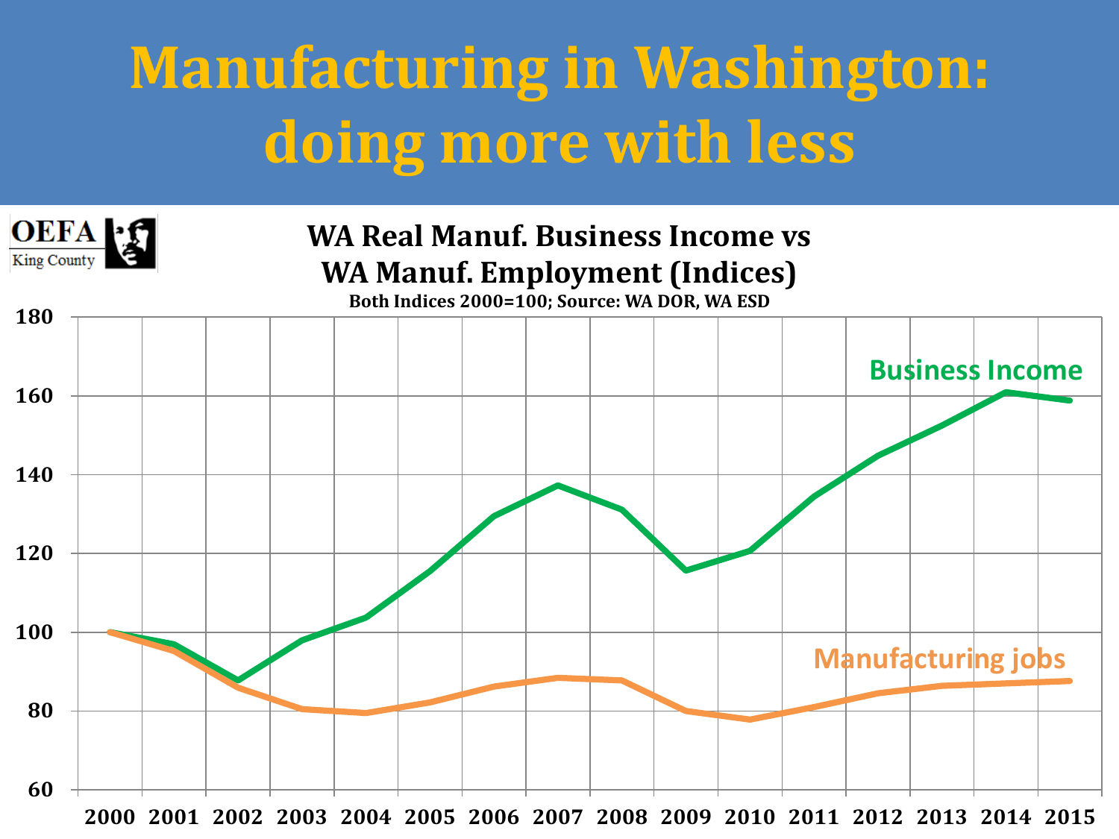### **Manufacturing in Washington: doing more with less**



#### **WA Real Manuf. Business Income vs WA Manuf. Employment (Indices)**





**2000 2001 2002 2003 2004 2005 2006 2007 2008 2009 2010 2011 2012 2013 2014 2015**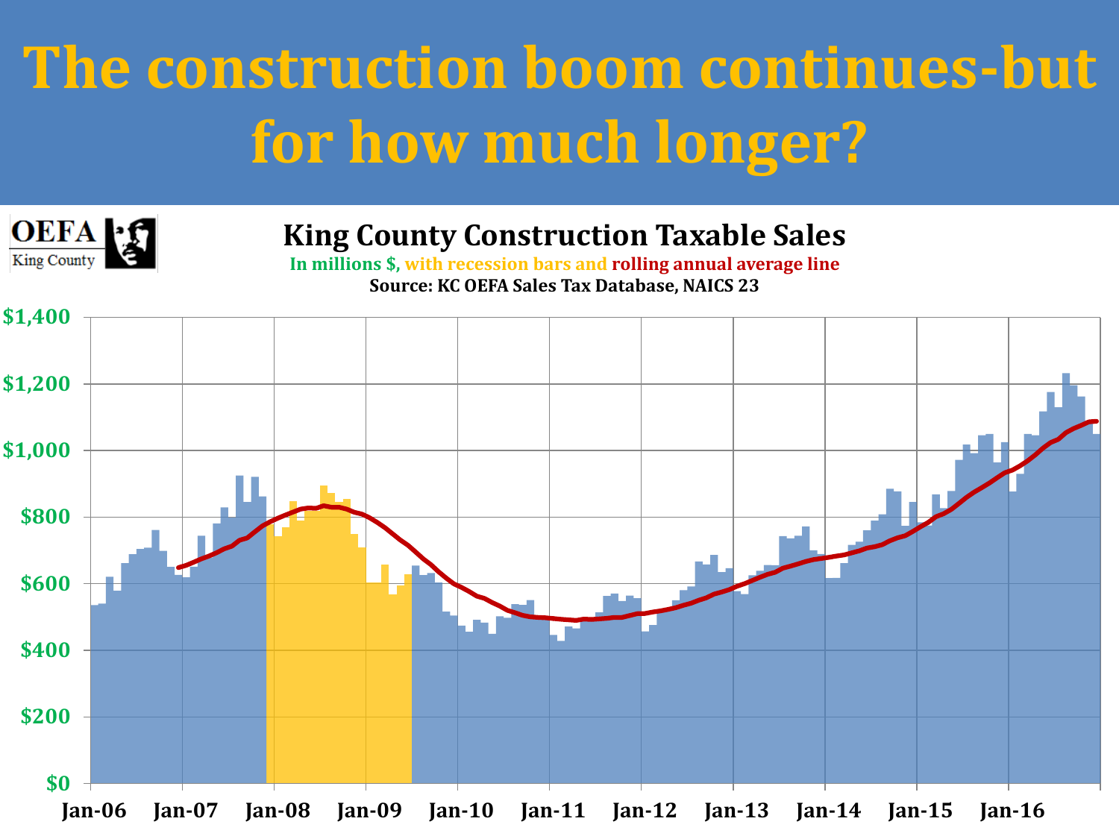# **The construction boom continues-but for how much longer?**

![](_page_11_Picture_1.jpeg)

#### **King County Construction Taxable Sales**

**In millions \$, with recession bars and rolling annual average line Source: KC OEFA Sales Tax Database, NAICS 23**

![](_page_11_Figure_4.jpeg)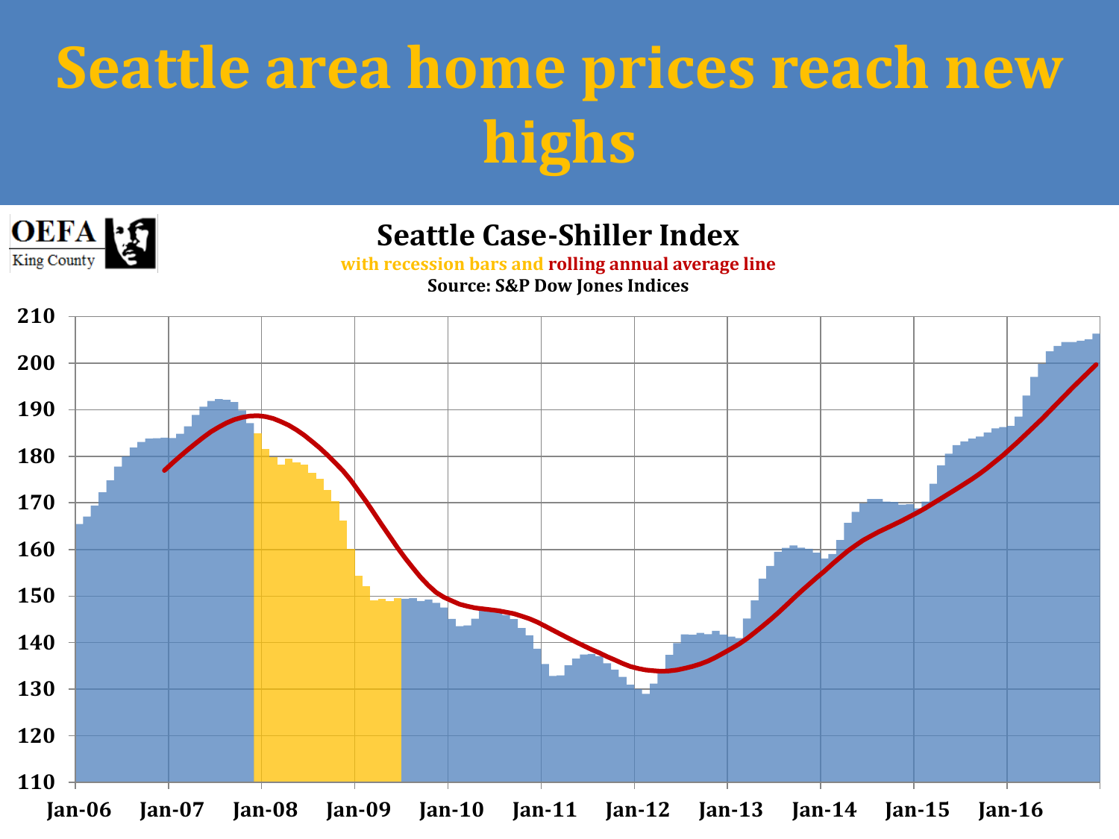# **Seattle area home prices reach new highs**

![](_page_12_Figure_1.jpeg)

#### **Seattle Case-Shiller Index**

**with recession bars and rolling annual average line**

**Source: S&P Dow Jones Indices**

![](_page_12_Figure_5.jpeg)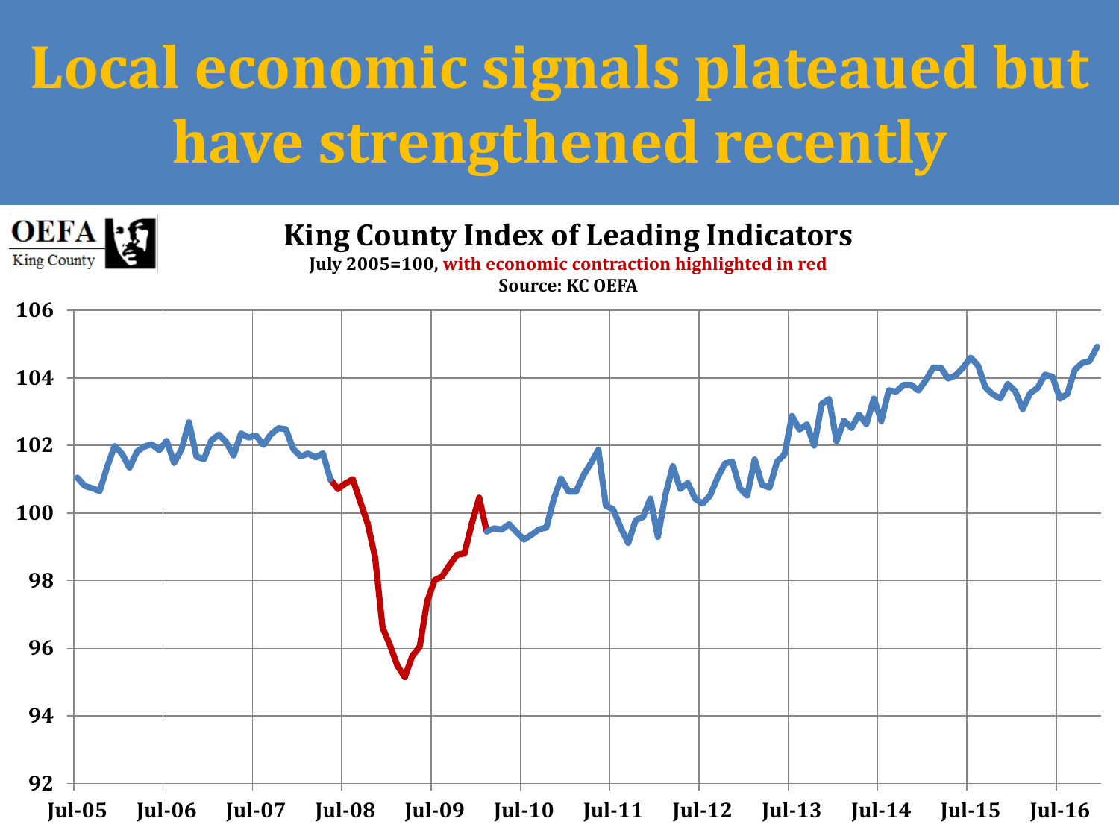# **Local economic signals plateaued but have strengthened recently**

![](_page_13_Figure_1.jpeg)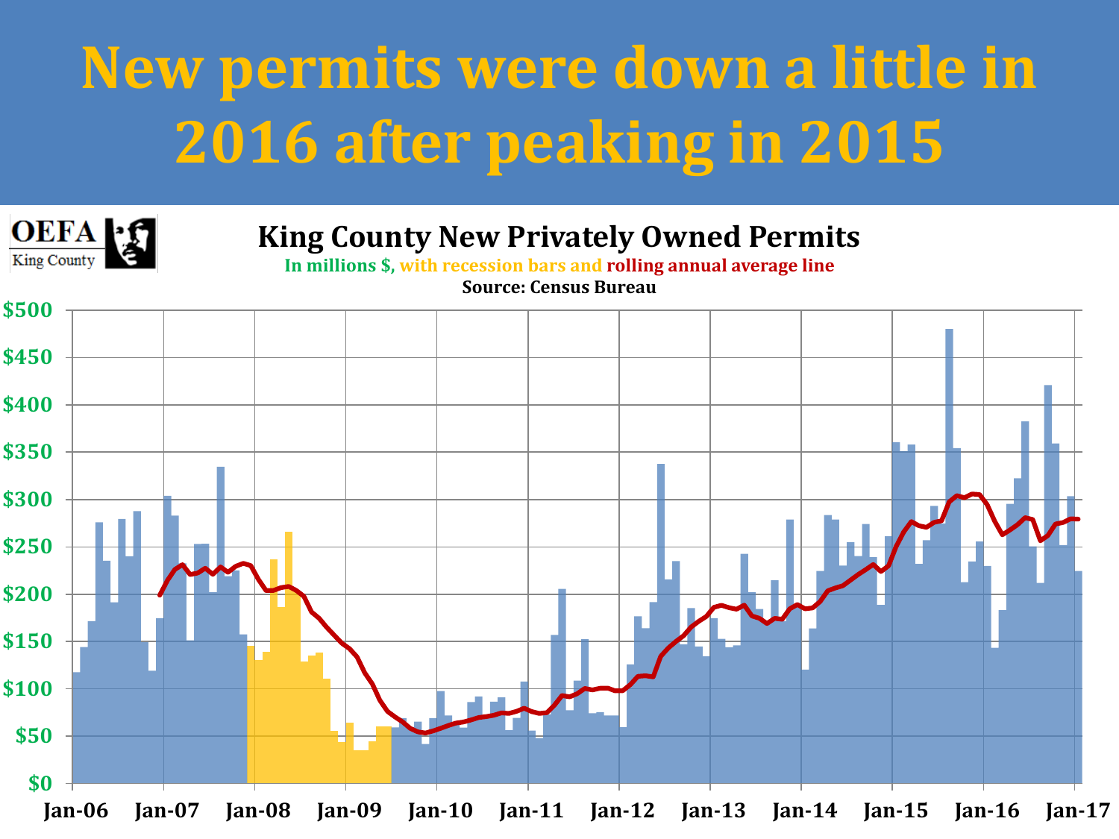# **New permits were down a little in 2016 after peaking in 2015**

![](_page_14_Picture_1.jpeg)

#### **King County New Privately Owned Permits**

**In millions \$, with recession bars and rolling annual average line**

**Source: Census Bureau**

![](_page_14_Figure_5.jpeg)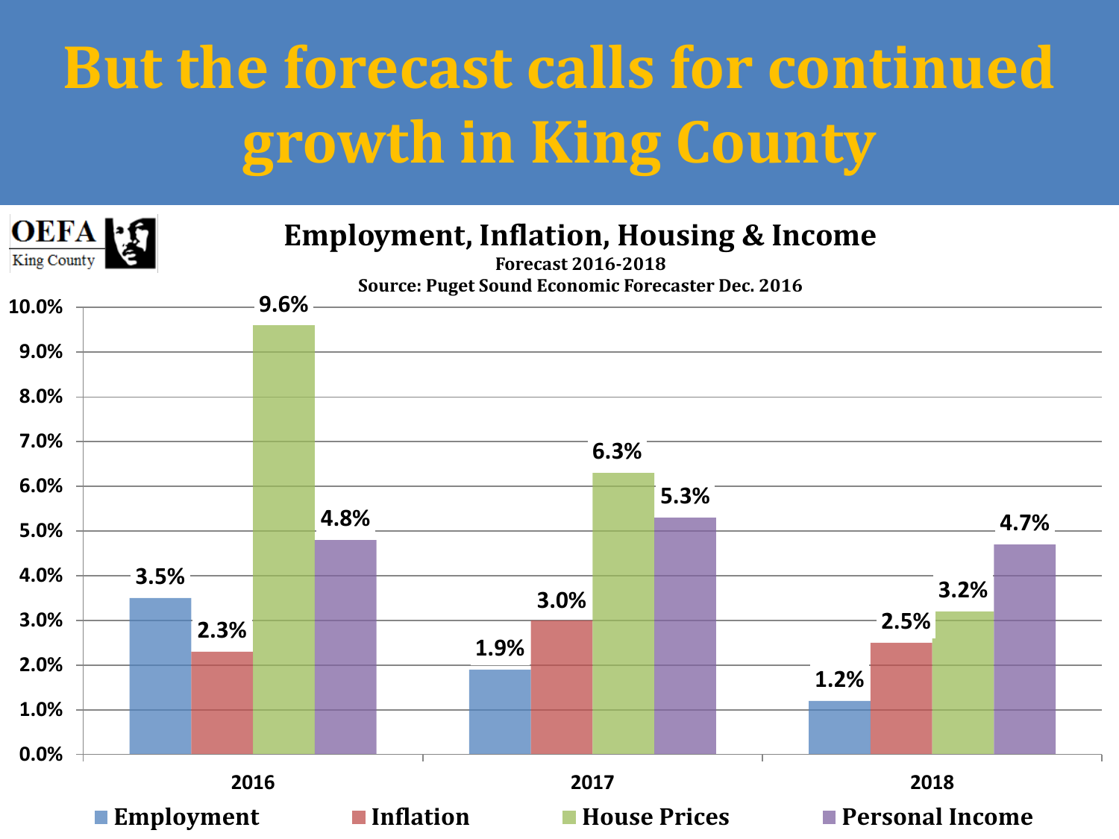# **But the forecast calls for continued growth in King County**

![](_page_15_Figure_1.jpeg)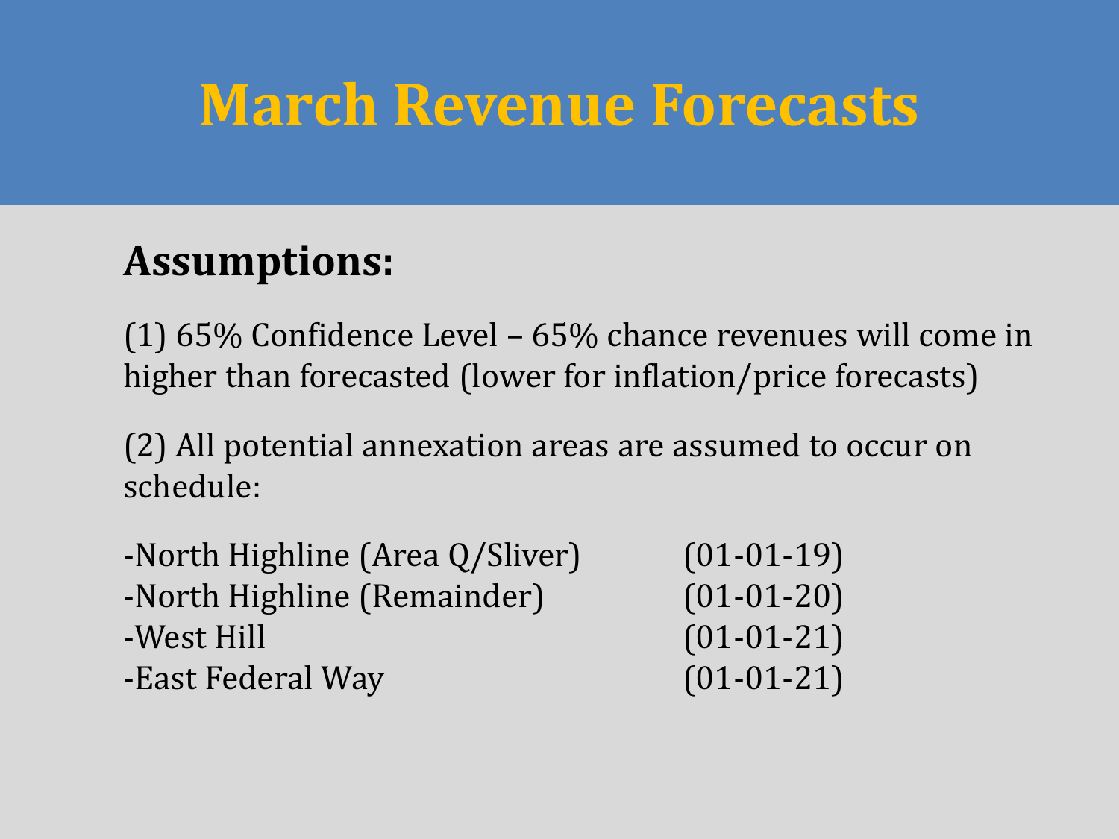#### **March Revenue Forecasts**

#### **Assumptions:**

(1) 65% Confidence Level – 65% chance revenues will come in higher than forecasted (lower for inflation/price forecasts)

(2) All potential annexation areas are assumed to occur on schedule:

| -North Highline (Area Q/Sliver) | $(01-01-19)$ |
|---------------------------------|--------------|
| -North Highline (Remainder)     | $(01-01-20)$ |
| -West Hill                      | $(01-01-21)$ |
| -East Federal Way               | $(01-01-21)$ |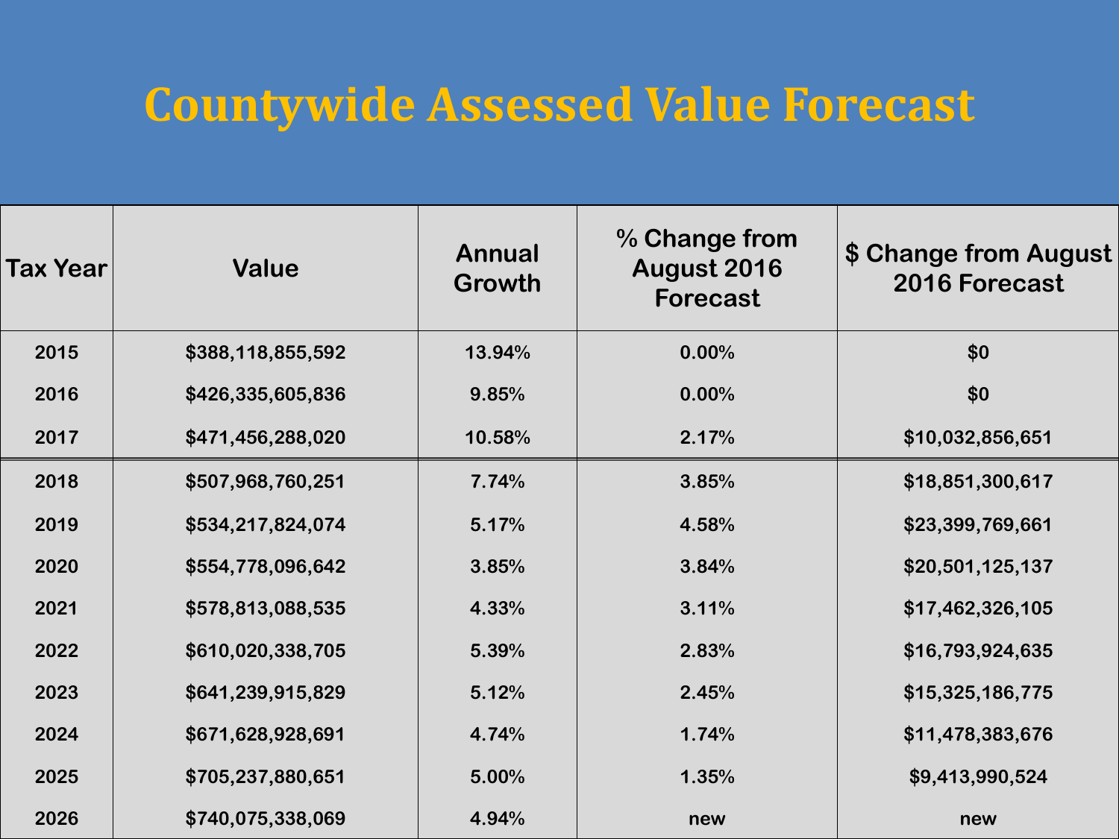#### **Countywide Assessed Value Forecast**

| Tax Year | <b>Value</b>      | <b>Annual</b><br>Growth | % Change from<br>August 2016<br><b>Forecast</b> | \$ Change from August<br>2016 Forecast |
|----------|-------------------|-------------------------|-------------------------------------------------|----------------------------------------|
| 2015     | \$388,118,855,592 | 13.94%                  | 0.00%                                           | \$0                                    |
| 2016     | \$426,335,605,836 | 9.85%                   | 0.00%                                           | \$0                                    |
| 2017     | \$471,456,288,020 | 10.58%                  | 2.17%                                           | \$10,032,856,651                       |
| 2018     | \$507,968,760,251 | 7.74%                   | 3.85%                                           | \$18,851,300,617                       |
| 2019     | \$534,217,824,074 | 5.17%                   | 4.58%                                           | \$23,399,769,661                       |
| 2020     | \$554,778,096,642 | 3.85%                   | 3.84%                                           | \$20,501,125,137                       |
| 2021     | \$578,813,088,535 | 4.33%                   | 3.11%                                           | \$17,462,326,105                       |
| 2022     | \$610,020,338,705 | 5.39%                   | 2.83%                                           | \$16,793,924,635                       |
| 2023     | \$641,239,915,829 | 5.12%                   | 2.45%                                           | \$15,325,186,775                       |
| 2024     | \$671,628,928,691 | 4.74%                   | 1.74%                                           | \$11,478,383,676                       |
| 2025     | \$705,237,880,651 | 5.00%                   | 1.35%                                           | \$9,413,990,524                        |
| 2026     | \$740,075,338,069 | 4.94%                   | new                                             | new                                    |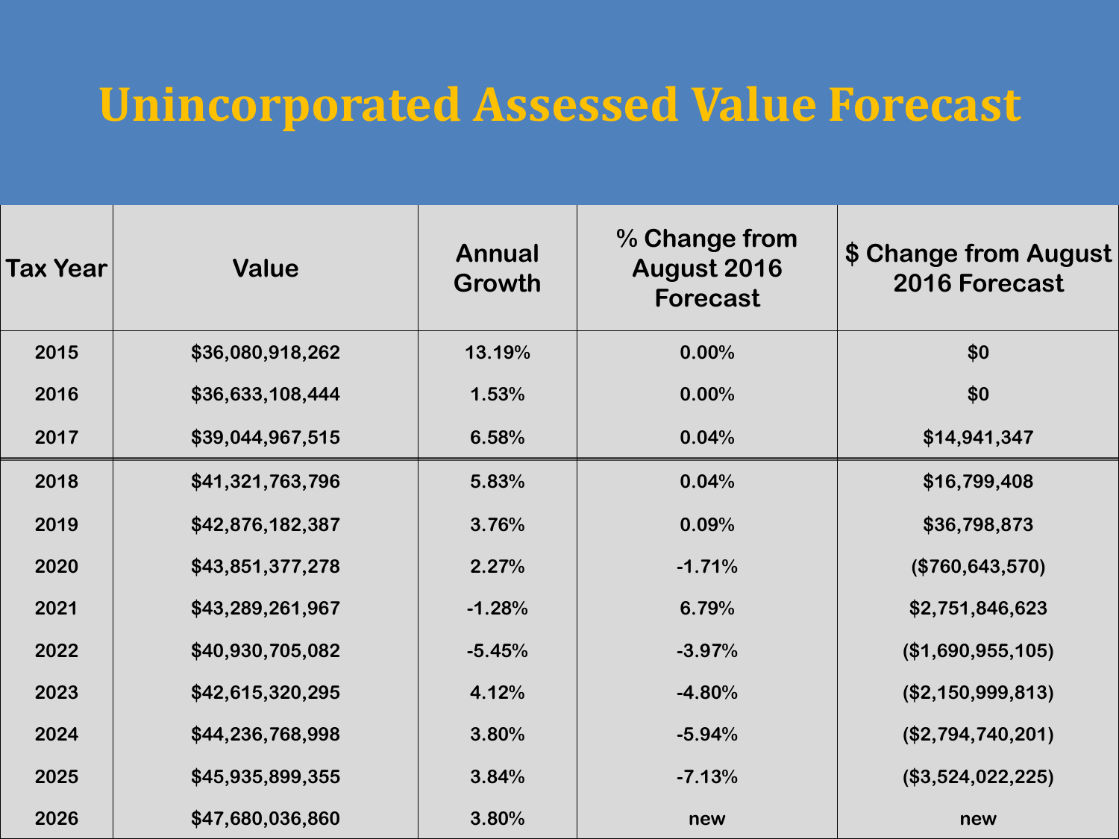#### **Unincorporated Assessed Value Forecast**

| <b>Tax Year</b> | <b>Value</b>     | <b>Annual</b><br>Growth | % Change from<br>August 2016<br><b>Forecast</b> | \$ Change from August<br>2016 Forecast |
|-----------------|------------------|-------------------------|-------------------------------------------------|----------------------------------------|
| 2015            | \$36,080,918,262 | 13.19%                  | 0.00%                                           | \$0                                    |
| 2016            | \$36,633,108,444 | 1.53%                   | 0.00%                                           | \$0                                    |
| 2017            | \$39,044,967,515 | 6.58%                   | 0.04%                                           | \$14,941,347                           |
| 2018            | \$41,321,763,796 | 5.83%                   | 0.04%                                           | \$16,799,408                           |
| 2019            | \$42,876,182,387 | 3.76%                   | 0.09%                                           | \$36,798,873                           |
| 2020            | \$43,851,377,278 | 2.27%                   | $-1.71%$                                        | (\$760, 643, 570)                      |
| 2021            | \$43,289,261,967 | $-1.28%$                | 6.79%                                           | \$2,751,846,623                        |
| 2022            | \$40,930,705,082 | $-5.45%$                | $-3.97%$                                        | (\$1,690,955,105)                      |
| 2023            | \$42,615,320,295 | 4.12%                   | $-4.80%$                                        | (\$2,150,999,813)                      |
| 2024            | \$44,236,768,998 | 3.80%                   | $-5.94%$                                        | (\$2,794,740,201)                      |
| 2025            | \$45,935,899,355 | 3.84%                   | $-7.13%$                                        | (\$3,524,022,225)                      |
| 2026            | \$47,680,036,860 | 3.80%                   | new                                             | new                                    |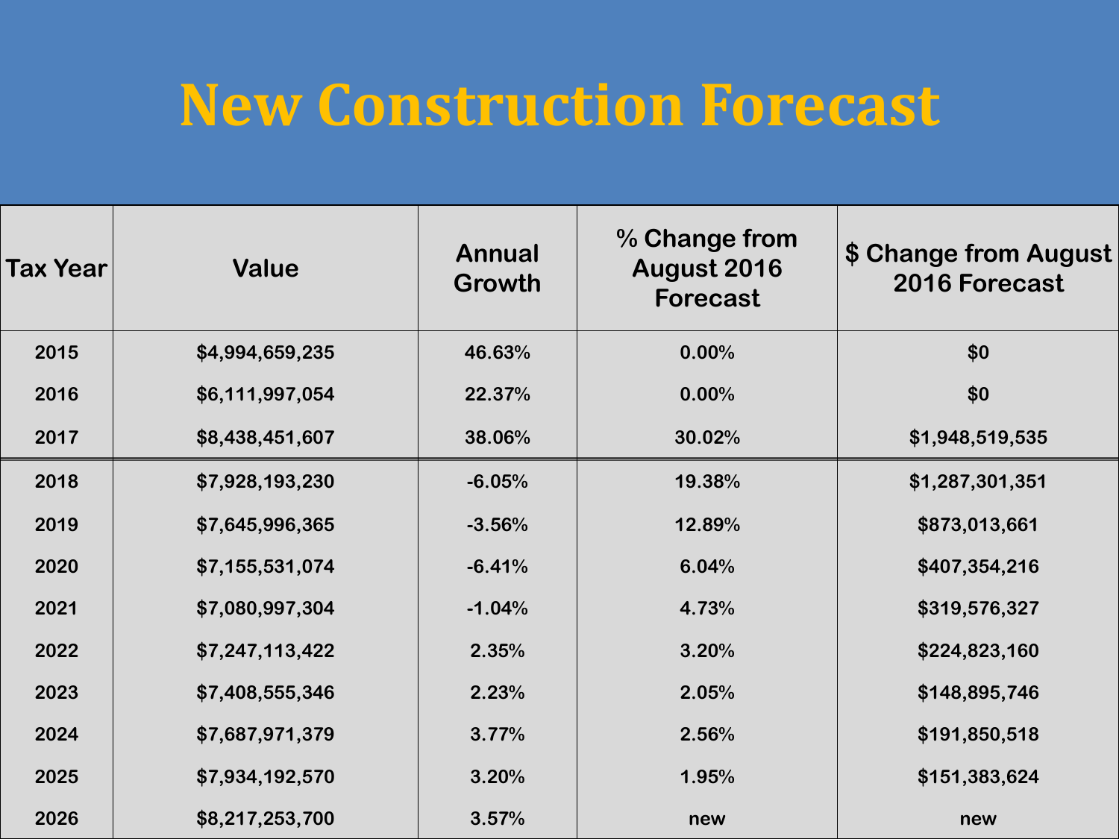#### **New Construction Forecast**

| Tax Year | <b>Value</b>    | <b>Annual</b><br>Growth | % Change from<br>August 2016<br><b>Forecast</b> | \$ Change from August<br>2016 Forecast |
|----------|-----------------|-------------------------|-------------------------------------------------|----------------------------------------|
| 2015     | \$4,994,659,235 | 46.63%                  | 0.00%                                           | \$0                                    |
| 2016     | \$6,111,997,054 | 22.37%                  | 0.00%                                           | \$0                                    |
| 2017     | \$8,438,451,607 | 38.06%                  | 30.02%                                          | \$1,948,519,535                        |
| 2018     | \$7,928,193,230 | $-6.05%$                | 19.38%                                          | \$1,287,301,351                        |
| 2019     | \$7,645,996,365 | $-3.56%$                | 12.89%                                          | \$873,013,661                          |
| 2020     | \$7,155,531,074 | $-6.41%$                | 6.04%                                           | \$407,354,216                          |
| 2021     | \$7,080,997,304 | $-1.04%$                | 4.73%                                           | \$319,576,327                          |
| 2022     | \$7,247,113,422 | 2.35%                   | 3.20%                                           | \$224,823,160                          |
| 2023     | \$7,408,555,346 | 2.23%                   | 2.05%                                           | \$148,895,746                          |
| 2024     | \$7,687,971,379 | 3.77%                   | 2.56%                                           | \$191,850,518                          |
| 2025     | \$7,934,192,570 | 3.20%                   | 1.95%                                           | \$151,383,624                          |
| 2026     | \$8,217,253,700 | 3.57%                   | new                                             | new                                    |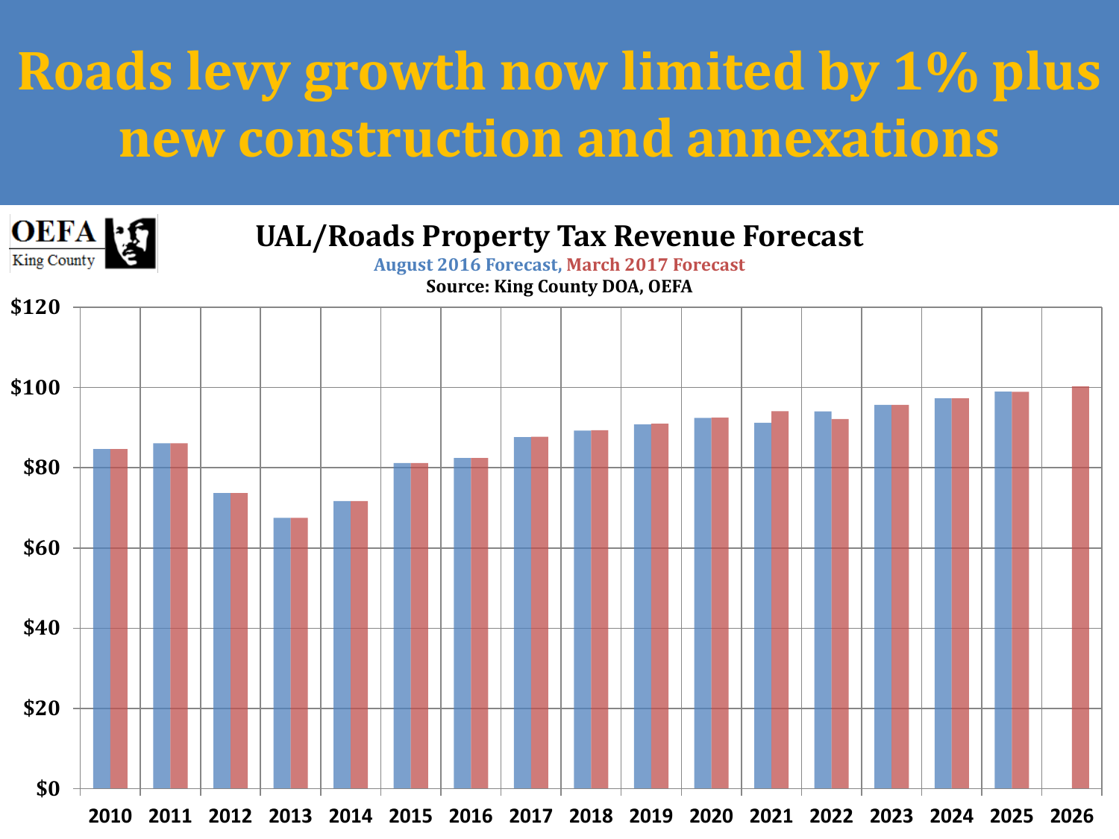### **Roads levy growth now limited by 1% plus new construction and annexations**

![](_page_20_Figure_1.jpeg)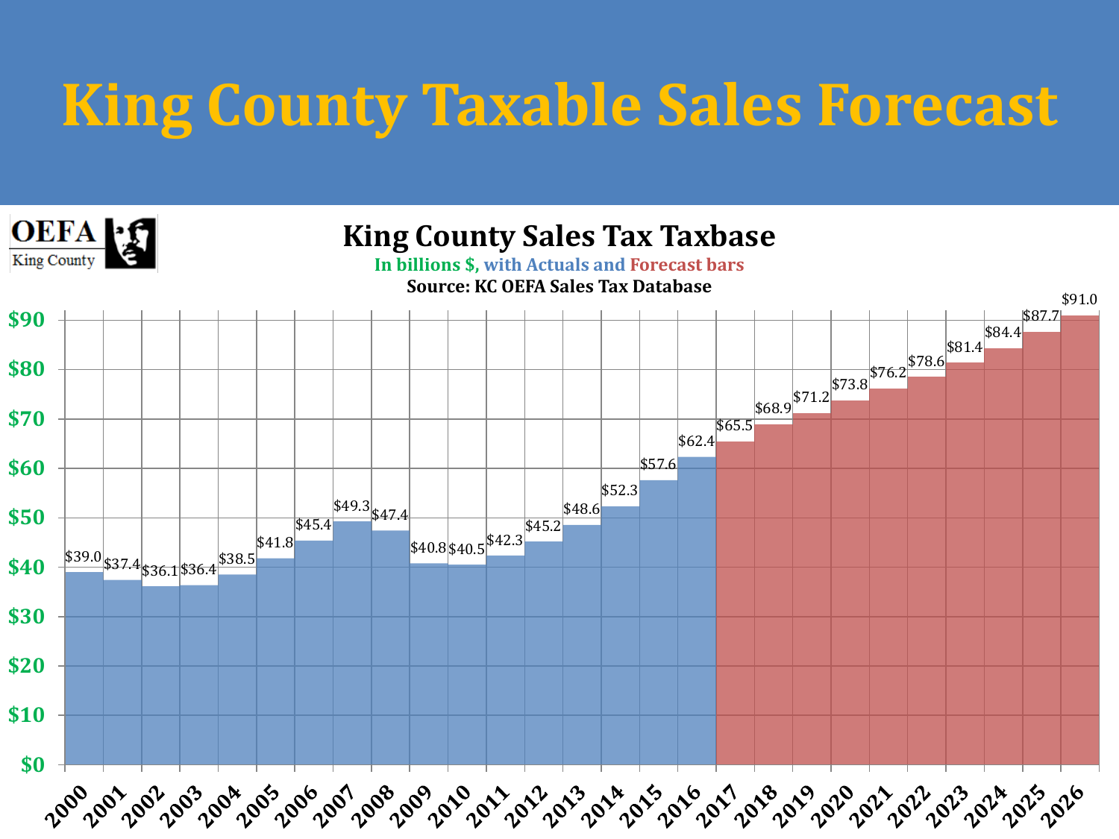### **King County Taxable Sales Forecast**

![](_page_21_Figure_1.jpeg)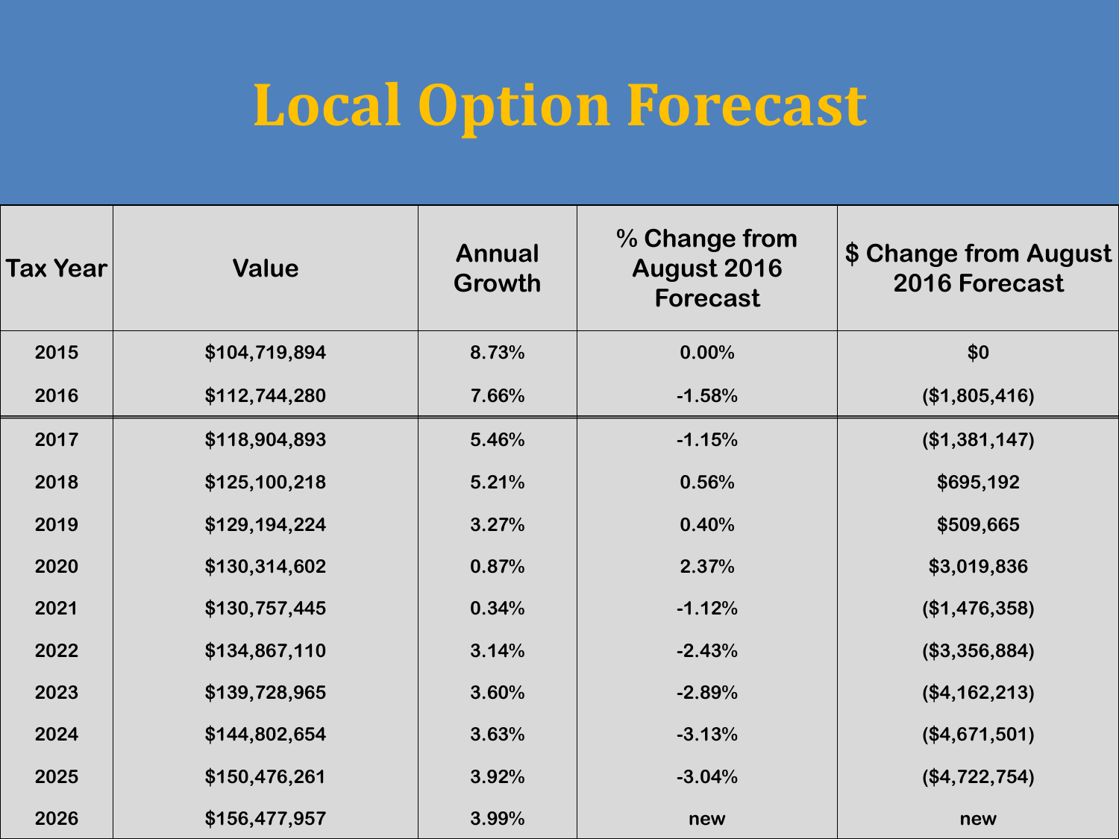### **Local Option Forecast**

| Tax Year | <b>Value</b>  | Annual<br><b>Growth</b> | % Change from<br>August 2016<br><b>Forecast</b> | \$ Change from August<br>2016 Forecast |
|----------|---------------|-------------------------|-------------------------------------------------|----------------------------------------|
| 2015     | \$104,719,894 | 8.73%                   | 0.00%                                           | \$0                                    |
| 2016     | \$112,744,280 | 7.66%                   | $-1.58%$                                        | (\$1,805,416)                          |
| 2017     | \$118,904,893 | 5.46%                   | $-1.15%$                                        | (\$1,381,147)                          |
| 2018     | \$125,100,218 | 5.21%                   | 0.56%                                           | \$695,192                              |
| 2019     | \$129,194,224 | 3.27%                   | 0.40%                                           | \$509,665                              |
| 2020     | \$130,314,602 | 0.87%                   | 2.37%                                           | \$3,019,836                            |
| 2021     | \$130,757,445 | 0.34%                   | $-1.12%$                                        | (\$1,476,358)                          |
| 2022     | \$134,867,110 | 3.14%                   | $-2.43%$                                        | (\$3,356,884)                          |
| 2023     | \$139,728,965 | 3.60%                   | $-2.89%$                                        | (\$4,162,213)                          |
| 2024     | \$144,802,654 | 3.63%                   | $-3.13%$                                        | (\$4,671,501)                          |
| 2025     | \$150,476,261 | 3.92%                   | $-3.04%$                                        | (\$4,722,754)                          |
| 2026     | \$156,477,957 | 3.99%                   | new                                             | new                                    |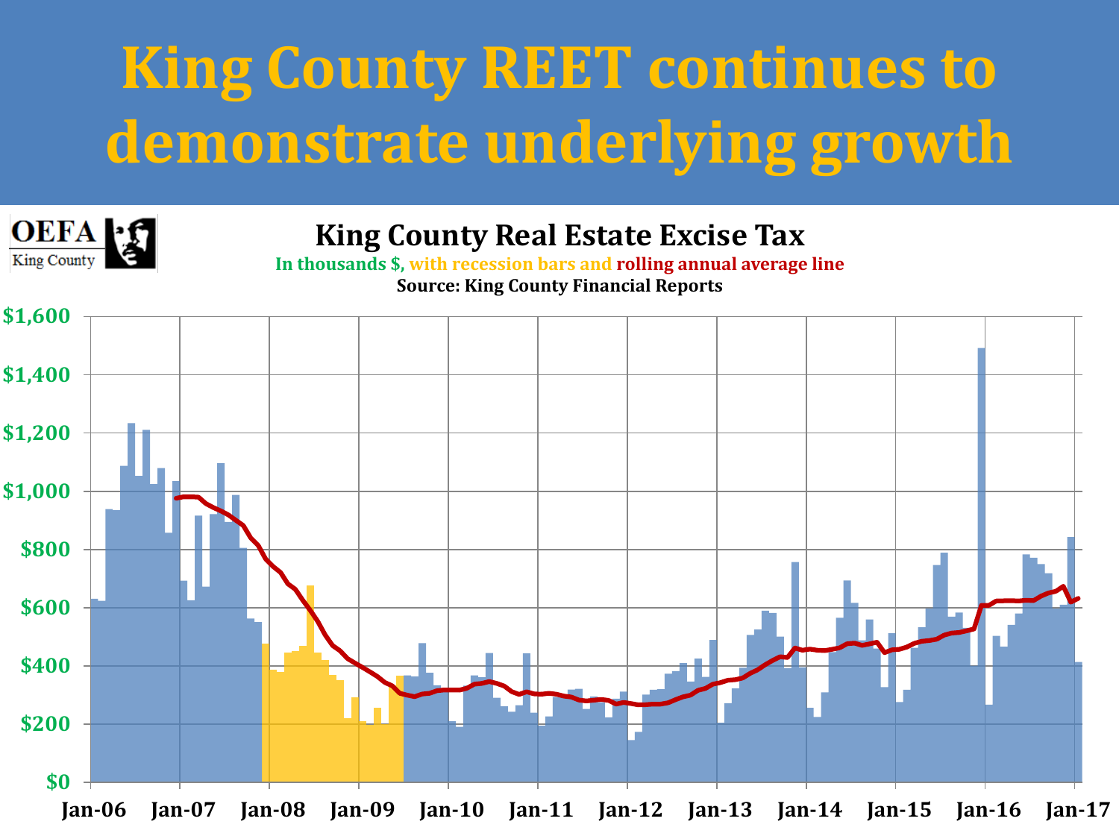# **King County REET continues to demonstrate underlying growth**

![](_page_23_Picture_1.jpeg)

#### **King County Real Estate Excise Tax**

**In thousands \$, with recession bars and rolling annual average line Source: King County Financial Reports**

![](_page_23_Figure_4.jpeg)